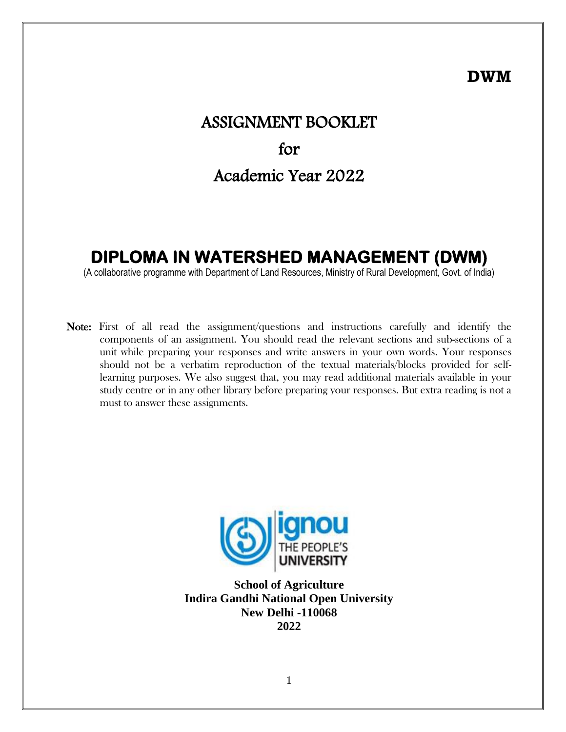## **DWM**

# ASSIGNMENT BOOKLET for Academic Year 2022

## **DIPLOMA IN WATERSHED MANAGEMENT (DWM)**

(A collaborative programme with Department of Land Resources, Ministry of Rural Development, Govt. of India)

Note: First of all read the assignment/questions and instructions carefully and identify the components of an assignment. You should read the relevant sections and sub-sections of a unit while preparing your responses and write answers in your own words. Your responses should not be a verbatim reproduction of the textual materials/blocks provided for selflearning purposes. We also suggest that, you may read additional materials available in your study centre or in any other library before preparing your responses. But extra reading is not a must to answer these assignments.



**School of Agriculture Indira Gandhi National Open University New Delhi -110068 2022**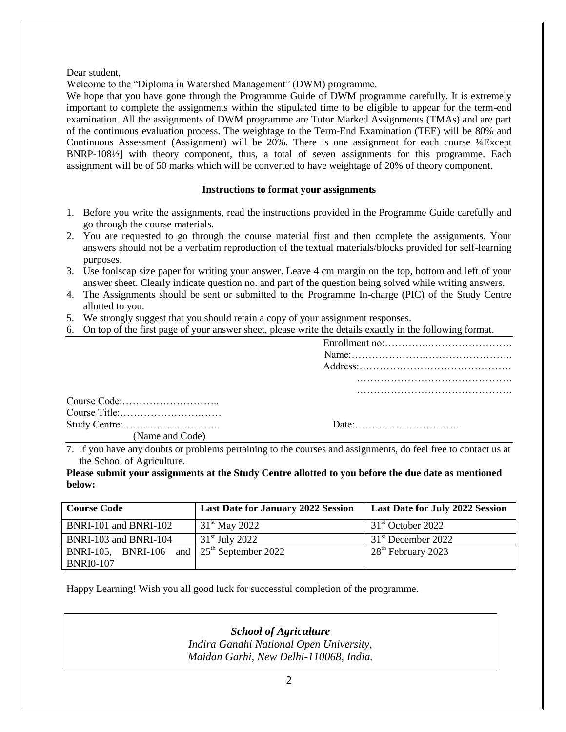Dear student,

Welcome to the "Diploma in Watershed Management" (DWM) programme.

We hope that you have gone through the Programme Guide of DWM programme carefully. It is extremely important to complete the assignments within the stipulated time to be eligible to appear for the term-end examination. All the assignments of DWM programme are Tutor Marked Assignments (TMAs) and are part of the continuous evaluation process. The weightage to the Term-End Examination (TEE) will be 80% and Continuous Assessment (Assignment) will be 20%. There is one assignment for each course ¼Except BNRP-108½] with theory component, thus, a total of seven assignments for this programme. Each assignment will be of 50 marks which will be converted to have weightage of 20% of theory component.

#### **Instructions to format your assignments**

- 1. Before you write the assignments, read the instructions provided in the Programme Guide carefully and go through the course materials.
- 2. You are requested to go through the course material first and then complete the assignments. Your answers should not be a verbatim reproduction of the textual materials/blocks provided for self-learning purposes.
- 3. Use foolscap size paper for writing your answer. Leave 4 cm margin on the top, bottom and left of your answer sheet. Clearly indicate question no. and part of the question being solved while writing answers.
- 4. The Assignments should be sent or submitted to the Programme In-charge (PIC) of the Study Centre allotted to you.
- 5. We strongly suggest that you should retain a copy of your assignment responses.
- 6. On top of the first page of your answer sheet, please write the details exactly in the following format.

| (Name and Code) |  |
|-----------------|--|

7. If you have any doubts or problems pertaining to the courses and assignments, do feel free to contact us at the School of Agriculture.

**Please submit your assignments at the Study Centre allotted to you before the due date as mentioned below:**

| <b>Course Code</b>                           | <b>Last Date for January 2022 Session</b> | <b>Last Date for July 2022 Session</b> |  |  |
|----------------------------------------------|-------------------------------------------|----------------------------------------|--|--|
| BNRI-101 and BNRI-102                        | $31^{\rm st}$ May 2022                    | 31 <sup>st</sup> October 2022          |  |  |
| BNRI-103 and BNRI-104                        | $31st$ July 2022                          | 31 <sup>st</sup> December 2022         |  |  |
| BNRI-105, BNRI-106 and $25th$ September 2022 |                                           | 28 <sup>th</sup> February 2023         |  |  |
| <b>BNRI0-107</b>                             |                                           |                                        |  |  |

Happy Learning! Wish you all good luck for successful completion of the programme.

*School of Agriculture Indira Gandhi National Open University, Maidan Garhi, New Delhi-110068, India.*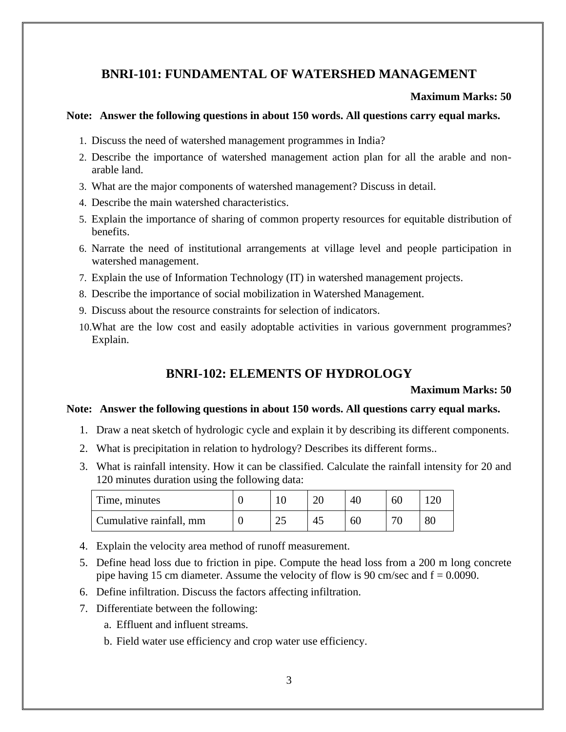## **BNRI-101: FUNDAMENTAL OF WATERSHED MANAGEMENT**

#### **Maximum Marks: 50**

## **Note: Answer the following questions in about 150 words. All questions carry equal marks.**

- 1. Discuss the need of watershed management programmes in India?
- 2. Describe the importance of watershed management action plan for all the arable and nonarable land.
- 3. What are the major components of watershed management? Discuss in detail.
- 4. Describe the main watershed characteristics.
- 5. Explain the importance of sharing of common property resources for equitable distribution of benefits.
- 6. Narrate the need of institutional arrangements at village level and people participation in watershed management.
- 7. Explain the use of Information Technology (IT) in watershed management projects.
- 8. Describe the importance of social mobilization in Watershed Management.
- 9. Discuss about the resource constraints for selection of indicators.
- 10.What are the low cost and easily adoptable activities in various government programmes? Explain.

## **BNRI-102: ELEMENTS OF HYDROLOGY**

#### **Maximum Marks: 50**

- 1. Draw a neat sketch of hydrologic cycle and explain it by describing its different components.
- 2. What is precipitation in relation to hydrology? Describes its different forms..
- 3. What is rainfall intensity. How it can be classified. Calculate the rainfall intensity for 20 and 120 minutes duration using the following data:

| Time, minutes           |   | 40 | 60    |    |
|-------------------------|---|----|-------|----|
| Cumulative rainfall, mm | ن | 60 | $\pi$ | 80 |

- 4. Explain the velocity area method of runoff measurement.
- 5. Define head loss due to friction in pipe. Compute the head loss from a 200 m long concrete pipe having 15 cm diameter. Assume the velocity of flow is 90 cm/sec and  $f = 0.0090$ .
- 6. Define infiltration. Discuss the factors affecting infiltration.
- 7. Differentiate between the following:
	- a. Effluent and influent streams.
	- b. Field water use efficiency and crop water use efficiency.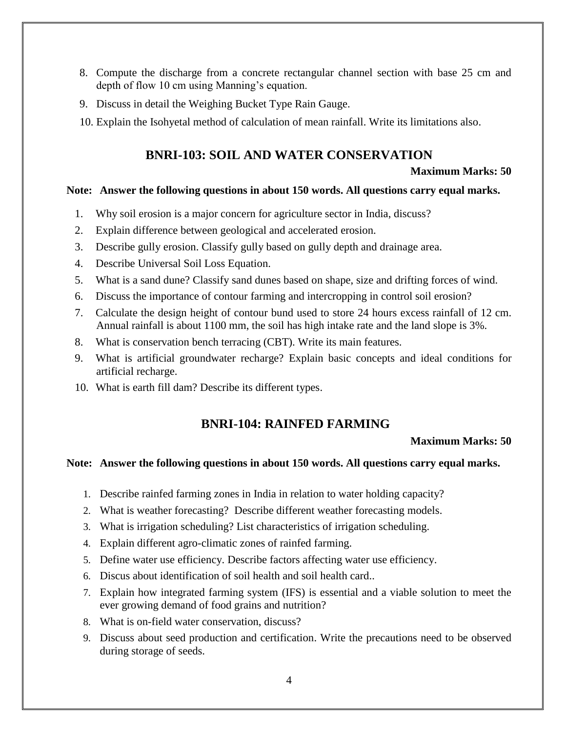- 8. Compute the discharge from a concrete rectangular channel section with base 25 cm and depth of flow 10 cm using Manning's equation.
- 9. Discuss in detail the Weighing Bucket Type Rain Gauge.
- 10. Explain the Isohyetal method of calculation of mean rainfall. Write its limitations also.

## **BNRI-103: SOIL AND WATER CONSERVATION**

## **Maximum Marks: 50**

#### **Note: Answer the following questions in about 150 words. All questions carry equal marks.**

- 1. Why soil erosion is a major concern for agriculture sector in India, discuss?
- 2. Explain difference between geological and accelerated erosion.
- 3. Describe gully erosion. Classify gully based on gully depth and drainage area.
- 4. Describe Universal Soil Loss Equation.
- 5. What is a sand dune? Classify sand dunes based on shape, size and drifting forces of wind.
- 6. Discuss the importance of contour farming and intercropping in control soil erosion?
- 7. Calculate the design height of contour bund used to store 24 hours excess rainfall of 12 cm. Annual rainfall is about 1100 mm, the soil has high intake rate and the land slope is 3%.
- 8. What is conservation bench terracing (CBT). Write its main features.
- 9. What is artificial groundwater recharge? Explain basic concepts and ideal conditions for artificial recharge.
- 10. What is earth fill dam? Describe its different types.

## **BNRI-104: RAINFED FARMING**

#### **Maximum Marks: 50**

- 1. Describe rainfed farming zones in India in relation to water holding capacity?
- 2. What is weather forecasting? Describe different weather forecasting models.
- 3. What is irrigation scheduling? List characteristics of irrigation scheduling.
- 4. Explain different agro-climatic zones of rainfed farming.
- 5. Define water use efficiency. Describe factors affecting water use efficiency.
- 6. Discus about identification of soil health and soil health card..
- 7. Explain how integrated farming system (IFS) is essential and a viable solution to meet the ever growing demand of food grains and nutrition?
- 8. What is on-field water conservation, discuss?
- 9. Discuss about seed production and certification. Write the precautions need to be observed during storage of seeds.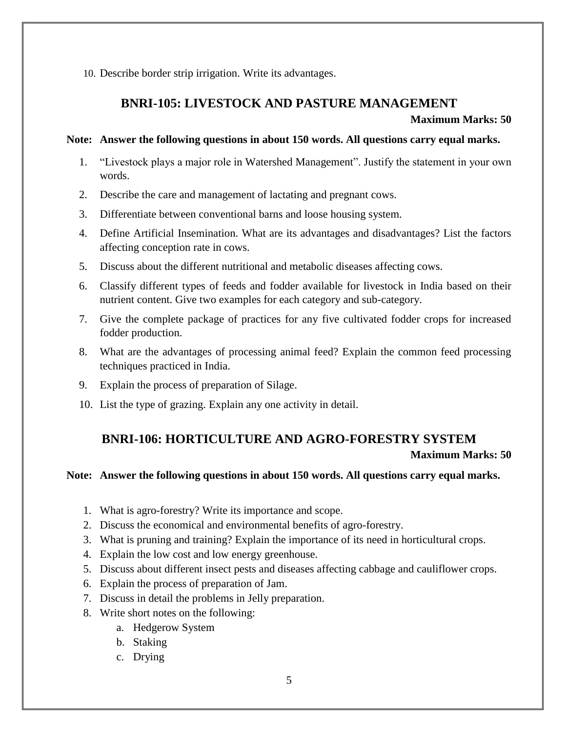10. Describe border strip irrigation. Write its advantages.

## **BNRI-105: LIVESTOCK AND PASTURE MANAGEMENT**

## **Maximum Marks: 50**

## **Note: Answer the following questions in about 150 words. All questions carry equal marks.**

- 1. "Livestock plays a major role in Watershed Management". Justify the statement in your own words.
- 2. Describe the care and management of lactating and pregnant cows.
- 3. Differentiate between conventional barns and loose housing system.
- 4. Define Artificial Insemination. What are its advantages and disadvantages? List the factors affecting conception rate in cows.
- 5. Discuss about the different nutritional and metabolic diseases affecting cows.
- 6. Classify different types of feeds and fodder available for livestock in India based on their nutrient content. Give two examples for each category and sub-category.
- 7. Give the complete package of practices for any five cultivated fodder crops for increased fodder production.
- 8. What are the advantages of processing animal feed? Explain the common feed processing techniques practiced in India.
- 9. Explain the process of preparation of Silage.
- 10. List the type of grazing. Explain any one activity in detail.

## **BNRI-106: HORTICULTURE AND AGRO-FORESTRY SYSTEM**

## **Maximum Marks: 50**

- 1. What is agro-forestry? Write its importance and scope.
- 2. Discuss the economical and environmental benefits of agro-forestry.
- 3. What is pruning and training? Explain the importance of its need in horticultural crops.
- 4. Explain the low cost and low energy greenhouse.
- 5. Discuss about different insect pests and diseases affecting cabbage and cauliflower crops.
- 6. Explain the process of preparation of Jam.
- 7. Discuss in detail the problems in Jelly preparation.
- 8. Write short notes on the following:
	- a. Hedgerow System
	- b. Staking
	- c. Drying